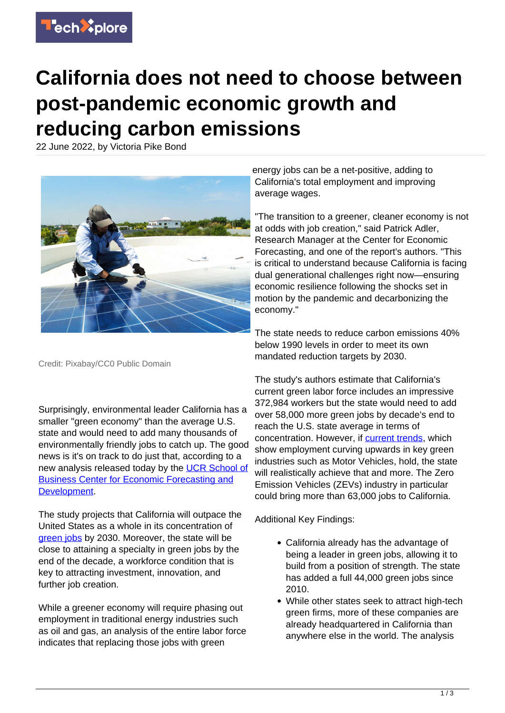

## **California does not need to choose between post-pandemic economic growth and reducing carbon emissions**

22 June 2022, by Victoria Pike Bond



Credit: Pixabay/CC0 Public Domain

Surprisingly, environmental leader California has a smaller "green economy" than the average U.S. state and would need to add many thousands of environmentally friendly jobs to catch up. The good news is it's on track to do just that, according to a new analysis released today by the [UCR School of](http://ucreconomicforecast.org/) [Business Center for Economic Forecasting and](http://ucreconomicforecast.org/) [Development](http://ucreconomicforecast.org/).

The study projects that California will outpace the United States as a whole in its concentration of [green jobs](https://techxplore.com/tags/green+jobs/) by 2030. Moreover, the state will be close to attaining a specialty in green jobs by the end of the decade, a workforce condition that is key to attracting investment, innovation, and further job creation.

While a greener economy will require phasing out employment in traditional energy industries such as oil and gas, an analysis of the entire labor force indicates that replacing those jobs with green

energy jobs can be a net-positive, adding to California's total employment and improving average wages.

"The transition to a greener, cleaner economy is not at odds with job creation," said Patrick Adler, Research Manager at the Center for Economic Forecasting, and one of the report's authors. "This is critical to understand because California is facing dual generational challenges right now—ensuring economic resilience following the shocks set in motion by the pandemic and decarbonizing the economy."

The state needs to reduce carbon emissions 40% below 1990 levels in order to meet its own mandated reduction targets by 2030.

The study's authors estimate that California's current green labor force includes an impressive 372,984 workers but the state would need to add over 58,000 more green jobs by decade's end to reach the U.S. state average in terms of concentration. However, if [current trends,](https://techxplore.com/tags/current+trends/) which show employment curving upwards in key green industries such as Motor Vehicles, hold, the state will realistically achieve that and more. The Zero Emission Vehicles (ZEVs) industry in particular could bring more than 63,000 jobs to California.

Additional Key Findings:

- California already has the advantage of being a leader in green jobs, allowing it to build from a position of strength. The state has added a full 44,000 green jobs since 2010.
- While other states seek to attract high-tech green firms, more of these companies are already headquartered in California than anywhere else in the world. The analysis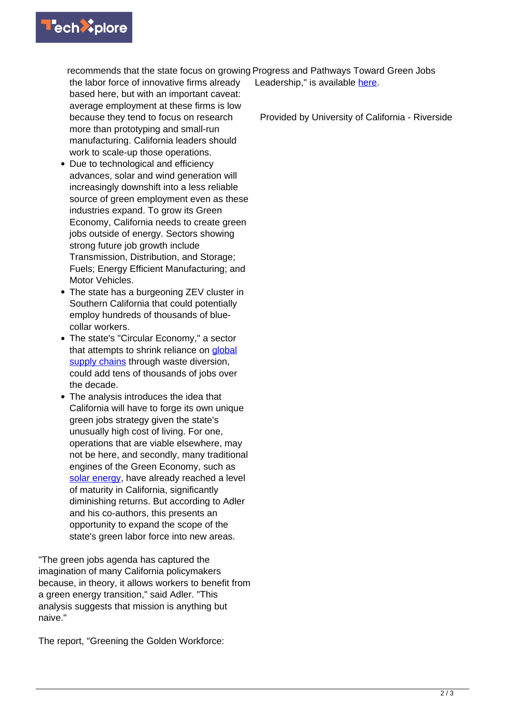

recommends that the state focus on growing Progress and Pathways Toward Green Jobs

the labor force of innovative firms already based here, but with an important caveat: average employment at these firms is low because they tend to focus on research more than prototyping and small-run manufacturing. California leaders should work to scale-up those operations.

- Due to technological and efficiency advances, solar and wind generation will increasingly downshift into a less reliable source of green employment even as these industries expand. To grow its Green Economy, California needs to create green jobs outside of energy. Sectors showing strong future job growth include Transmission, Distribution, and Storage; Fuels; Energy Efficient Manufacturing; and Motor Vehicles.
- The state has a burgeoning ZEV cluster in Southern California that could potentially employ hundreds of thousands of bluecollar workers.
- The state's "Circular Economy," a sector that attempts to shrink reliance on [global](https://techxplore.com/tags/global+supply+chains/) [supply chains](https://techxplore.com/tags/global+supply+chains/) through waste diversion, could add tens of thousands of jobs over the decade.
- The analysis introduces the idea that California will have to forge its own unique green jobs strategy given the state's unusually high cost of living. For one, operations that are viable elsewhere, may not be here, and secondly, many traditional engines of the Green Economy, such as [solar energy,](https://techxplore.com/tags/solar+energy/) have already reached a level of maturity in California, significantly diminishing returns. But according to Adler and his co-authors, this presents an opportunity to expand the scope of the state's green labor force into new areas.

"The green jobs agenda has captured the imagination of many California policymakers because, in theory, it allows workers to benefit from a green energy transition," said Adler. "This analysis suggests that mission is anything but naive."

The report, "Greening the Golden Workforce:

Leadership," is available [here](https://ucreconomicforecast.org/wp-content/uploads/2022/06/UCR_WP_Greening_Workforce_6_21_2022.pdf).

Provided by University of California - Riverside